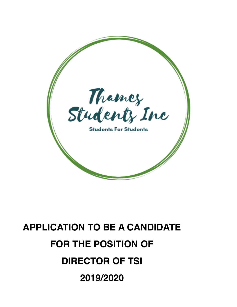

# **APPLICATION TO BE A CANDIDATE FOR THE POSITION OF DIRECTOR OF TSI 2019/2020**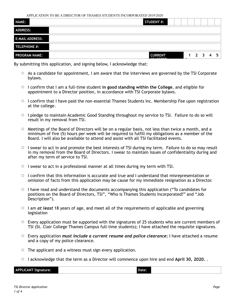APPLICATION TO BE A DIRECTOR OF THAMES STUDENTS INCORPORATED 2019/2020

| <b>ADDRESS:</b><br>$1 \quad 2 \quad 3 \quad 4$ | NAME:                | <b>STUDENT #:</b> |  |  |    |
|------------------------------------------------|----------------------|-------------------|--|--|----|
| <b>E-MAIL ADDRESS:</b><br>TELEPHONE #:         |                      |                   |  |  |    |
|                                                |                      |                   |  |  |    |
|                                                |                      |                   |  |  |    |
| <b>ARALBARDS</b>                               | <b>PROGRAM NAME:</b> | <b>CURRENT</b>    |  |  | 5. |

By submitting this application, and signing below, I acknowledge that:

- $\Box$  As a candidate for appointment, I am aware that the interviews are governed by the TSI Corporate bylaws.
- 䡦 I confirm that I am a full-time student **in good standing within the College**, and eligible for appointment to a Director position, in accordance with TSI Corporate bylaws.
- $\Box$  I confirm that I have paid the non-essential Thames Students Inc. Membership Fee upon registration at the college.
- $\Box$  I pledge to maintain Academic Good Standing throughout my service to TSI. Failure to do so will result in my removal from TSI.
- $\Box$  Meetings of the Board of Directors will be on a regular basis, not less than twice a month, and a minimum of five (5) hours per week will be required to fulfill my obligations as a member of the Board. I will also be available to attend and assist with all TSI facilitated events.
- $\Box$  I swear to act in and promote the best interests of TSI during my term. Failure to do so may result in my removal from the Board of Directors. I swear to maintain issues of confidentiality during and after my term of service to TSI.
- $\Box$  I swear to act in a professional manner at all times during my term with TSI.
- $\Box$  I confirm that this information is accurate and true and I understand that misrepresentation or omission of facts from this application may be cause for my immediate resignation as a Director.
- $\Box$  I have read and understand the documents accompanying this application ("To candidates for positions on the Board of Directors, TSI", "Who is Thames Students Incorporated?" and "Job Description").
- $\Box$  I am *at least* 18 years of age, and meet all of the requirements of applicable and governing legislation
- $\Box$  Every application must be supported with the signatures of 25 students who are current members of TSI (St. Clair College Thames Campus full-time students); I have attached the requisite signatures.
- 䡦 Every application *must include a current resume and police clearance*; I have attached a resume and a copy of my police clearance.
- $\Box$  The applicant and a witness must sign every application.
- 䡦 I acknowledge that the term as a Director will commence upon hire and end **April 30, 2020.** .

**APPLICANT Signature: Date:**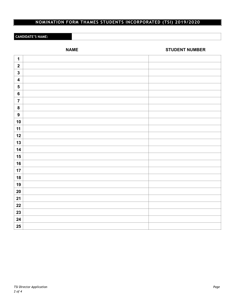## **NOMINATION FORM THAMES STUDENTS INCORPORATED (TSI) 2019/2020**

#### **CANDIDATE'S NAME:**

**NAME** STUDENT NUMBER

| $\mathbf 1$             |  |
|-------------------------|--|
| $\boldsymbol{2}$        |  |
| $\mathbf 3$             |  |
| $\overline{\mathbf{4}}$ |  |
| ${\bf 5}$               |  |
| $\bf 6$                 |  |
| $\overline{7}$          |  |
| $\pmb{8}$               |  |
| $\boldsymbol{9}$        |  |
| 10                      |  |
| 11                      |  |
| 12                      |  |
| 13                      |  |
| 14                      |  |
| 15                      |  |
| 16                      |  |
| 17                      |  |
| 18                      |  |
| 19                      |  |
| $20\,$                  |  |
| 21                      |  |
| 22                      |  |
| 23                      |  |
| 24                      |  |
| $25\phantom{.0}$        |  |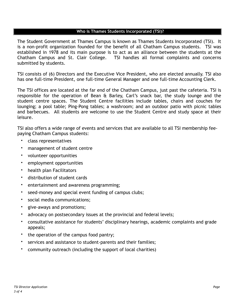#### **Who is Thames Students Incorporated (TSI)?**

The Student Government at Thames Campus is known as Thames Students Incorporated (TSI). It is a non-profit organization founded for the benefit of all Chatham Campus students. TSI was established in 1978 and its main purpose is to act as an alliance between the students at the Chatham Campus and St. Clair College. TSI handles all formal complaints and concerns submitted by students.

TSI consists of (6) Directors and the Executive Vice President, who are elected annually. TSI also has one full-time President, one full-time General Manager and one full-time Accounting Clerk.

The TSI offices are located at the far end of the Chatham Campus, just past the cafeteria. TSI is responsible for the operation of Bean & Barley, Carl's snack bar, the study lounge and the student centre spaces. The Student Centre facilities include tables, chairs and couches for lounging; a pool table; Ping-Pong tables; a washroom; and an outdoor patio with picnic tables and barbecues. All students are welcome to use the Student Centre and study space at their leisure.

TSI also offers a wide range of events and services that are available to all TSI membership feepaying Chatham Campus students:

- class representatives
- management of student centre
- volunteer opportunities
- employment opportunities
- health plan Facilitators
- distribution of student cards
- entertainment and awareness programming;
- seed-money and special event funding of campus clubs;
- social media communications;
- give-aways and promotions;
- advocacy on postsecondary issues at the provincial and federal levels;
- consultative assistance for students' disciplinary hearings, academic complaints and grade appeals;
- the operation of the campus food pantry;
- services and assistance to student-parents and their families;
- community outreach (including the support of local charities)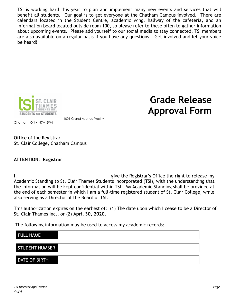TSI is working hard this year to plan and implement many new events and services that will benefit all students. Our goal is to get everyone at the Chatham Campus involved. There are calendars located in the Student Centre, academic wing, hallway of the cafeteria, and an information board located outside room 100, so please refer to these often to gather information about upcoming events. Please add yourself to our social media to stay connected. TSI members are also available on a regular basis if you have any questions. Get involved and let your voice be heard!



**Grade Release Approval Form** 

Chatham, ON • N7M 5W4

1001 Grand Avenue West •

Office of the Registrar St. Clair College, Chatham Campus

### **ATTENTION: Registrar**

I, give the Registrar's Office the right to release my Academic Standing to St. Clair Thames Students Incorporated (TSI), with the understanding that the information will be kept confidential within TSI. My Academic Standing shall be provided at the end of each semester in which I am a full-time registered student of St. Clair College, while also serving as a Director of the Board of TSI.

This authorization expires on the earliest of: (1) The date upon which I cease to be a Director of St. Clair Thames Inc., or (2) **April 30, 2020**.

The following information may be used to access my academic records:

| <b>FULL NAME</b>     |  |
|----------------------|--|
|                      |  |
| STUDENT NUMBER       |  |
|                      |  |
| <b>DATE OF BIRTH</b> |  |